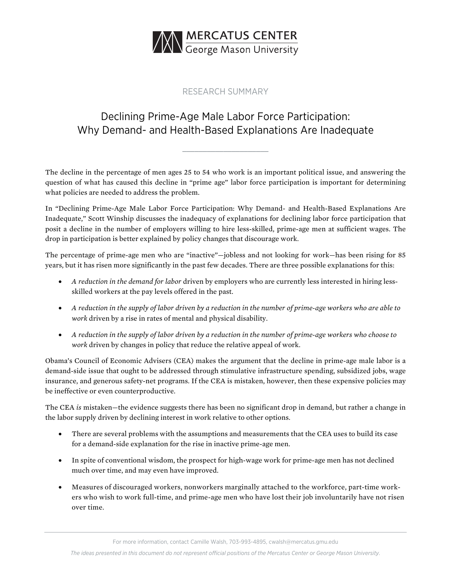

## RESEARCH SUMMARY

## Declining Prime-Age Male Labor Force Participation: Why Demand- and Health-Based Explanations Are Inadequate

The decline in the percentage of men ages 25 to 54 who work is an important political issue, and answering the question of what has caused this decline in "prime age" labor force participation is important for determining what policies are needed to address the problem.

In ["Declining Prime-Age Male Labor Force Participation: Why Demand-](https://www.mercatus.org/publications/declining-male-labor-force-participation) and Health-Based Explanations Are [Inadequate,](https://www.mercatus.org/publications/declining-male-labor-force-participation)" Scott Winship discusses the inadequacy of explanations for declining labor force participation that posit a decline in the number of employers willing to hire less-skilled, prime-age men at sufficient wages. The drop in participation is better explained by policy changes that discourage work.

The percentage of prime-age men who are "inactive"—jobless and not looking for work—has been rising for 85 years, but it has risen more significantly in the past few decades. There are three possible explanations for this:

- *A reduction in the demand for labor* driven by employers who are currently less interested in hiring lessskilled workers at the pay levels offered in the past.
- *A reduction in the supply of labor driven by a reduction in the number of prime-age workers who are able to work* driven by a rise in rates of mental and physical disability.
- *A reduction in the supply of labor driven by a reduction in the number of prime-age workers who choose to work* driven by changes in policy that reduce the relative appeal of work.

Obama's Council of Economic Advisers (CEA) makes the argument that the decline in prime-age male labor is a demand-side issue that ought to be addressed through stimulative infrastructure spending, subsidized jobs, wage insurance, and generous safety-net programs. If the CEA is mistaken, however, then these expensive policies may be ineffective or even counterproductive.

The CEA *is* mistaken—the evidence suggests there has been no significant drop in demand, but rather a change in the labor supply driven by declining interest in work relative to other options.

- There are several problems with the assumptions and measurements that the CEA uses to build its case for a demand-side explanation for the rise in inactive prime-age men.
- In spite of conventional wisdom, the prospect for high-wage work for prime-age men has not declined much over time, and may even have improved.
- Measures of discouraged workers, nonworkers marginally attached to the workforce, part-time workers who wish to work full-time, and prime-age men who have lost their job involuntarily have not risen over time.

For more information, contact Camille Walsh, 703-993-4895, [cwalsh@mercatus.gmu.edu](mailto:cwalsh@mercatus.gmu.edu)

*The ideas presented in this document do not represent official positions of the Mercatus Center or George Mason University.*